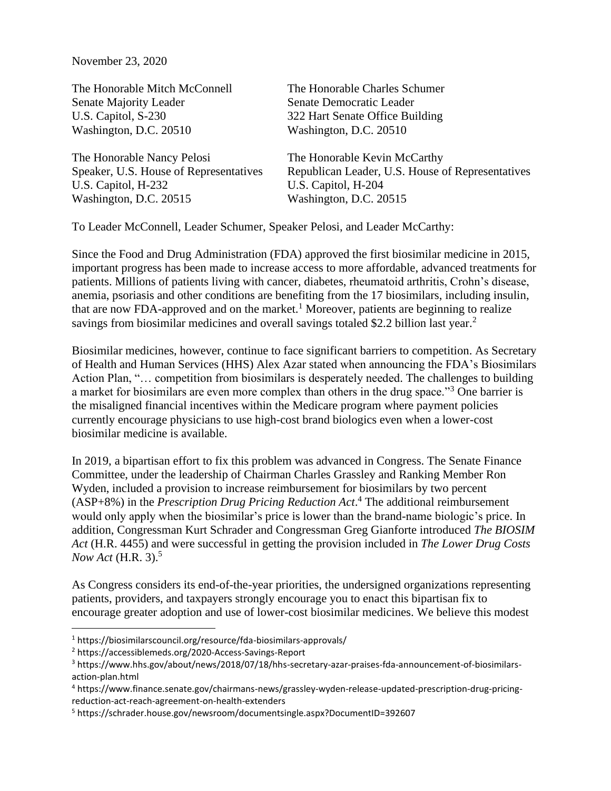November 23, 2020

The Honorable Mitch McConnell The Honorable Charles Schumer Senate Majority Leader Senate Democratic Leader U.S. Capitol, S-230 322 Hart Senate Office Building Washington, D.C. 20510 Washington, D.C. 20510 The Honorable Nancy Pelosi The Honorable Kevin McCarthy Speaker, U.S. House of Representatives Republican Leader, U.S. House of Representatives U.S. Capitol, H-232 U.S. Capitol, H-204 Washington, D.C. 20515 Washington, D.C. 20515

To Leader McConnell, Leader Schumer, Speaker Pelosi, and Leader McCarthy:

Since the Food and Drug Administration (FDA) approved the first biosimilar medicine in 2015, important progress has been made to increase access to more affordable, advanced treatments for patients. Millions of patients living with cancer, diabetes, rheumatoid arthritis, Crohn's disease, anemia, psoriasis and other conditions are benefiting from the 17 biosimilars, including insulin, that are now FDA-approved and on the market.<sup>1</sup> Moreover, patients are beginning to realize savings from biosimilar medicines and overall savings totaled \$2.2 billion last year.<sup>2</sup>

Biosimilar medicines, however, continue to face significant barriers to competition. As Secretary of Health and Human Services (HHS) Alex Azar stated when announcing the FDA's Biosimilars Action Plan, "... competition from biosimilars is desperately needed. The challenges to building a market for biosimilars are even more complex than others in the drug space."<sup>3</sup> One barrier is the misaligned financial incentives within the Medicare program where payment policies currently encourage physicians to use high-cost brand biologics even when a lower-cost biosimilar medicine is available.

In 2019, a bipartisan effort to fix this problem was advanced in Congress. The Senate Finance Committee, under the leadership of Chairman Charles Grassley and Ranking Member Ron Wyden, included a provision to increase reimbursement for biosimilars by two percent (ASP+8%) in the *Prescription Drug Pricing Reduction Act*. <sup>4</sup> The additional reimbursement would only apply when the biosimilar's price is lower than the brand-name biologic's price. In addition, Congressman Kurt Schrader and Congressman Greg Gianforte introduced *The BIOSIM Act* (H.R. 4455) and were successful in getting the provision included in *The Lower Drug Costs Now Act* (H.R. 3). 5

As Congress considers its end-of-the-year priorities, the undersigned organizations representing patients, providers, and taxpayers strongly encourage you to enact this bipartisan fix to encourage greater adoption and use of lower-cost biosimilar medicines. We believe this modest

<sup>1</sup> https://biosimilarscouncil.org/resource/fda-biosimilars-approvals/

<sup>2</sup> https://accessiblemeds.org/2020-Access-Savings-Report

<sup>3</sup> https://www.hhs.gov/about/news/2018/07/18/hhs-secretary-azar-praises-fda-announcement-of-biosimilarsaction-plan.html

<sup>4</sup> https://www.finance.senate.gov/chairmans-news/grassley-wyden-release-updated-prescription-drug-pricingreduction-act-reach-agreement-on-health-extenders

<sup>5</sup> https://schrader.house.gov/newsroom/documentsingle.aspx?DocumentID=392607